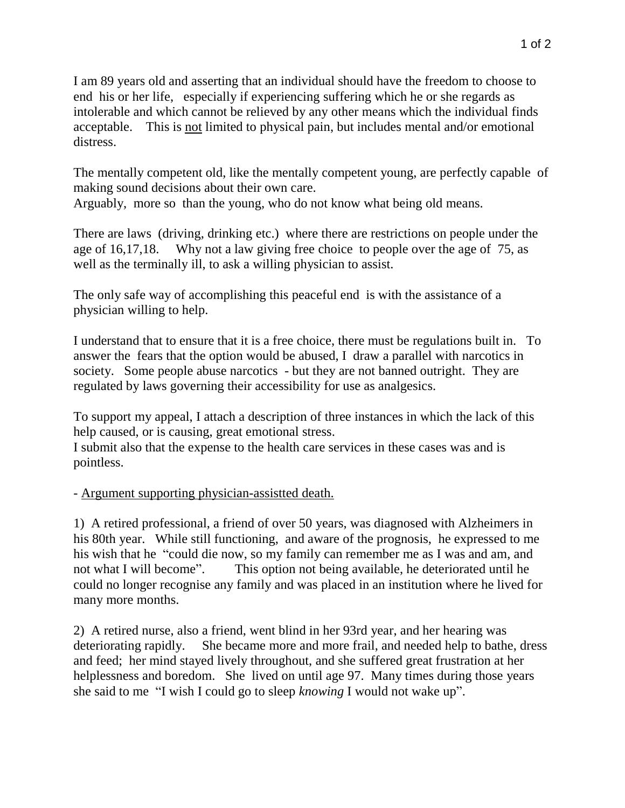I am 89 years old and asserting that an individual should have the freedom to choose to end his or her life, especially if experiencing suffering which he or she regards as intolerable and which cannot be relieved by any other means which the individual finds acceptable. This is not limited to physical pain, but includes mental and/or emotional distress.

The mentally competent old, like the mentally competent young, are perfectly capable of making sound decisions about their own care. Arguably, more so than the young, who do not know what being old means.

There are laws (driving, drinking etc.) where there are restrictions on people under the age of 16,17,18. Why not a law giving free choice to people over the age of 75, as well as the terminally ill, to ask a willing physician to assist.

The only safe way of accomplishing this peaceful end is with the assistance of a physician willing to help.

I understand that to ensure that it is a free choice, there must be regulations built in. To answer the fears that the option would be abused, I draw a parallel with narcotics in society. Some people abuse narcotics - but they are not banned outright. They are regulated by laws governing their accessibility for use as analgesics.

To support my appeal, I attach a description of three instances in which the lack of this help caused, or is causing, great emotional stress.

I submit also that the expense to the health care services in these cases was and is pointless.

## - Argument supporting physician-assistted death.

1) A retired professional, a friend of over 50 years, was diagnosed with Alzheimers in his 80th year. While still functioning, and aware of the prognosis, he expressed to me his wish that he "could die now, so my family can remember me as I was and am, and not what I will become". This option not being available, he deteriorated until he could no longer recognise any family and was placed in an institution where he lived for many more months.

2) A retired nurse, also a friend, went blind in her 93rd year, and her hearing was deteriorating rapidly. She became more and more frail, and needed help to bathe, dress and feed; her mind stayed lively throughout, and she suffered great frustration at her helplessness and boredom. She lived on until age 97. Many times during those years she said to me "I wish I could go to sleep *knowing* I would not wake up".